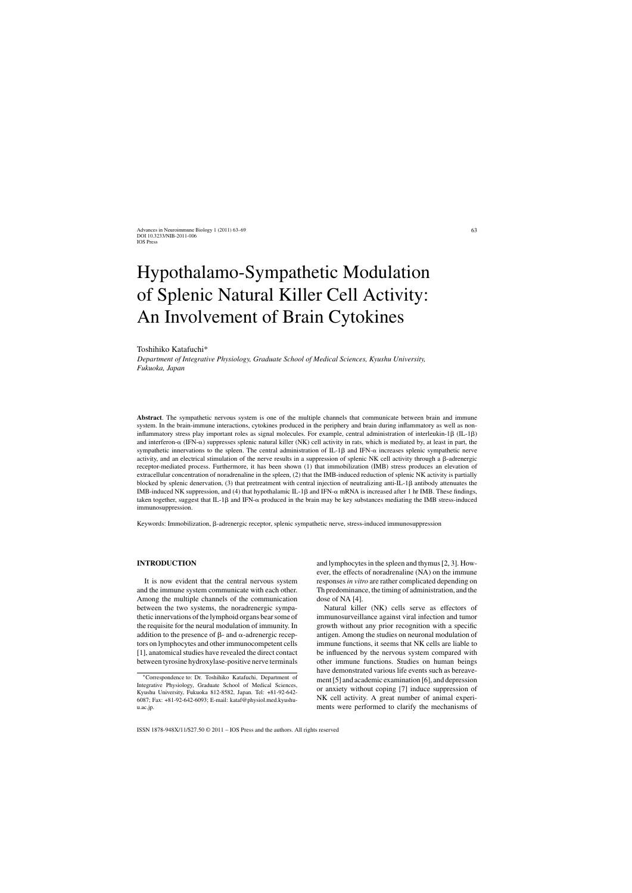# Hypothalamo-Sympathetic Modulation of Splenic Natural Killer Cell Activity: An Involvement of Brain Cytokines

#### Toshihiko Katafuchi\*

*Department of Integrative Physiology, Graduate School of Medical Sciences, Kyushu University, Fukuoka, Japan*

**Abstract**. The sympathetic nervous system is one of the multiple channels that communicate between brain and immune system. In the brain-immune interactions, cytokines produced in the periphery and brain during inflammatory as well as noninflammatory stress play important roles as signal molecules. For example, central administration of interleukin-1 $\beta$  (IL-1 $\beta$ ) and interferon- $\alpha$  (IFN- $\alpha$ ) suppresses splenic natural killer (NK) cell activity in rats, which is mediated by, at least in part, the sympathetic innervations to the spleen. The central administration of IL-1 $\beta$  and IFN- $\alpha$  increases splenic sympathetic nerve activity, and an electrical stimulation of the nerve results in a suppression of splenic NK cell activity through a  $\beta$ -adrenergic receptor-mediated process. Furthermore, it has been shown (1) that immobilization (IMB) stress produces an elevation of extracellular concentration of noradrenaline in the spleen, (2) that the IMB-induced reduction of splenic NK activity is partially blocked by splenic denervation,  $(3)$  that pretreatment with central injection of neutralizing anti-IL-1 $\beta$  antibody attenuates the IMB-induced NK suppression, and (4) that hypothalamic IL-1 $\beta$  and IFN- $\alpha$  mRNA is increased after 1 hr IMB. These findings, taken together, suggest that IL-1 $\beta$  and IFN- $\alpha$  produced in the brain may be key substances mediating the IMB stress-induced immunosuppression.

Keywords: Immobilization,  $\beta$ -adrenergic receptor, splenic sympathetic nerve, stress-induced immunosuppression

#### **INTRODUCTION**

It is now evident that the central nervous system and the immune system communicate with each other. Among the multiple channels of the communication between the two systems, the noradrenergic sympathetic innervations of the lymphoid organs bear some of the requisite for the neural modulation of immunity. In addition to the presence of  $\beta$ - and  $\alpha$ -adrenergic receptors on lymphocytes and other immunocompetent cells [1], anatomical studies have revealed the direct contact between tyrosine hydroxylase-positive nerve terminals

and lymphocytes in the spleen and thymus [2, 3]. However, the effects of noradrenaline (NA) on the immune responses *in vitro* are rather complicated depending on Th predominance, the timing of administration, and the dose of NA [4].

Natural killer (NK) cells serve as effectors of immunosurveillance against viral infection and tumor growth without any prior recognition with a specific antigen. Among the studies on neuronal modulation of immune functions, it seems that NK cells are liable to be influenced by the nervous system compared with other immune functions. Studies on human beings have demonstrated various life events such as bereavement [5] and academic examination [6], and depression or anxiety without coping [7] induce suppression of NK cell activity. A great number of animal experiments were performed to clarify the mechanisms of

<sup>∗</sup>Correspondence to: Dr. Toshihiko Katafuchi, Department of Integrative Physiology, Graduate School of Medical Sciences, Kyushu University, Fukuoka 812-8582, Japan. Tel: +81-92-642- 6087; Fax: +81-92-642-6093; E-mail: [kataf@physiol.med.kyushu](mailto:kataf@physiol.med.kyushu-u.ac.jp)u.ac.jp.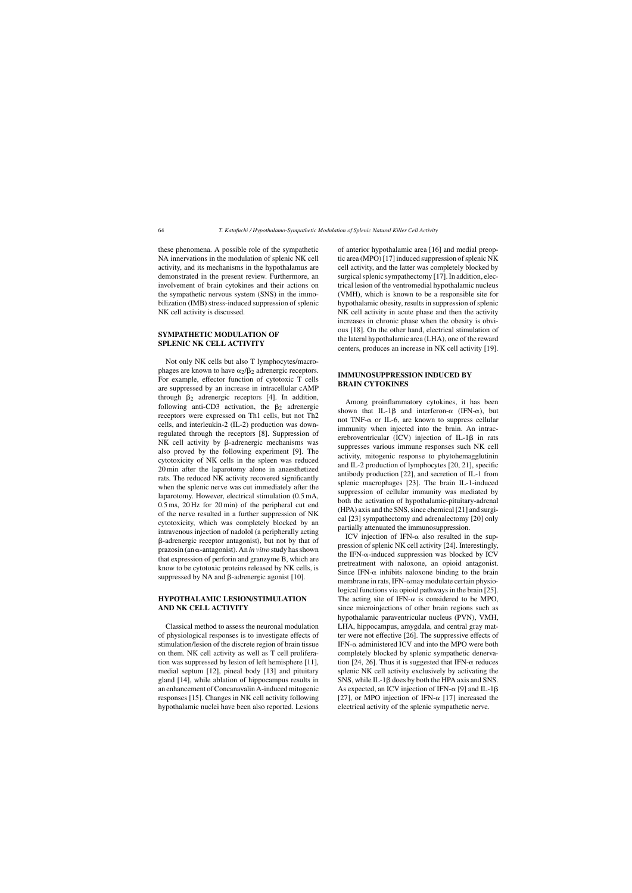these phenomena. A possible role of the sympathetic NA innervations in the modulation of splenic NK cell activity, and its mechanisms in the hypothalamus are demonstrated in the present review. Furthermore, an involvement of brain cytokines and their actions on the sympathetic nervous system (SNS) in the immobilization (IMB) stress-induced suppression of splenic NK cell activity is discussed.

### **SYMPATHETIC MODULATION OF SPLENIC NK CELL ACTIVITY**

Not only NK cells but also T lymphocytes/macrophages are known to have  $\alpha_2/\beta_2$  adrenergic receptors. For example, effector function of cytotoxic T cells are suppressed by an increase in intracellular cAMP through  $\beta_2$  adrenergic receptors [4]. In addition, following anti-CD3 activation, the  $\beta_2$  adrenergic receptors were expressed on Th1 cells, but not Th2 cells, and interleukin-2 (IL-2) production was downregulated through the receptors [8]. Suppression of NK cell activity by  $\beta$ -adrenergic mechanisms was also proved by the following experiment [9]. The cytotoxicity of NK cells in the spleen was reduced 20 min after the laparotomy alone in anaesthetized rats. The reduced NK activity recovered significantly when the splenic nerve was cut immediately after the laparotomy. However, electrical stimulation (0.5 mA, 0.5 ms, 20 Hz for 20 min) of the peripheral cut end of the nerve resulted in a further suppression of NK cytotoxicity, which was completely blocked by an intravenous injection of nadolol (a peripherally acting -adrenergic receptor antagonist), but not by that of prazosin (an α-antagonist). An *in vitro* study has shown that expression of perforin and granzyme B, which are know to be cytotoxic proteins released by NK cells, is suppressed by NA and  $\beta$ -adrenergic agonist [10].

# **HYPOTHALAMIC LESION/STIMULATION AND NK CELL ACTIVITY**

Classical method to assess the neuronal modulation of physiological responses is to investigate effects of stimulation/lesion of the discrete region of brain tissue on them. NK cell activity as well as T cell proliferation was suppressed by lesion of left hemisphere [11], medial septum [12], pineal body [13] and pituitary gland [14], while ablation of hippocampus results in an enhancement of Concanavalin A-induced mitogenic responses [15]. Changes in NK cell activity following hypothalamic nuclei have been also reported. Lesions

of anterior hypothalamic area [16] and medial preoptic area (MPO) [17] induced suppression of splenic NK cell activity, and the latter was completely blocked by surgical splenic sympathectomy [17]. In addition, electrical lesion of the ventromedial hypothalamic nucleus (VMH), which is known to be a responsible site for hypothalamic obesity, results in suppression of splenic NK cell activity in acute phase and then the activity increases in chronic phase when the obesity is obvious [18]. On the other hand, electrical stimulation of the lateral hypothalamic area (LHA), one of the reward centers, produces an increase in NK cell activity [19].

#### **IMMUNOSUPPRESSION INDUCED BY BRAIN CYTOKINES**

Among proinflammatory cytokines, it has been shown that IL-1 $\beta$  and interferon- $\alpha$  (IFN- $\alpha$ ), but not TNF- $\alpha$  or IL-6, are known to suppress cellular immunity when injected into the brain. An intracerebroventricular  $(ICV)$  injection of IL-1 $\beta$  in rats suppresses various immune responses such NK cell activity, mitogenic response to phytohemagglutinin and IL-2 production of lymphocytes [20, 21], specific antibody production [22], and secretion of IL-1 from splenic macrophages [23]. The brain IL-1-induced suppression of cellular immunity was mediated by both the activation of hypothalamic-pituitary-adrenal (HPA) axis and the SNS, since chemical [21] and surgical [23] sympathectomy and adrenalectomy [20] only partially attenuated the immunosuppression.

ICV injection of IFN- $\alpha$  also resulted in the suppression of splenic NK cell activity [24]. Interestingly, the IFN- $\alpha$ -induced suppression was blocked by ICV pretreatment with naloxone, an opioid antagonist. Since IFN- $\alpha$  inhibits naloxone binding to the brain membrane in rats, IFN- $\alpha$ may modulate certain physiological functions via opioid pathways in the brain [25]. The acting site of IFN- $\alpha$  is considered to be MPO, since microinjections of other brain regions such as hypothalamic paraventricular nucleus (PVN), VMH, LHA, hippocampus, amygdala, and central gray matter were not effective [26]. The suppressive effects of IFN- $\alpha$  administered ICV and into the MPO were both completely blocked by splenic sympathetic denervation [24, 26]. Thus it is suggested that IFN- $\alpha$  reduces splenic NK cell activity exclusively by activating the SNS, while IL-1 $\beta$  does by both the HPA axis and SNS. As expected, an ICV injection of IFN- $\alpha$  [9] and IL-1 $\beta$ [27], or MPO injection of IFN- $\alpha$  [17] increased the electrical activity of the splenic sympathetic nerve.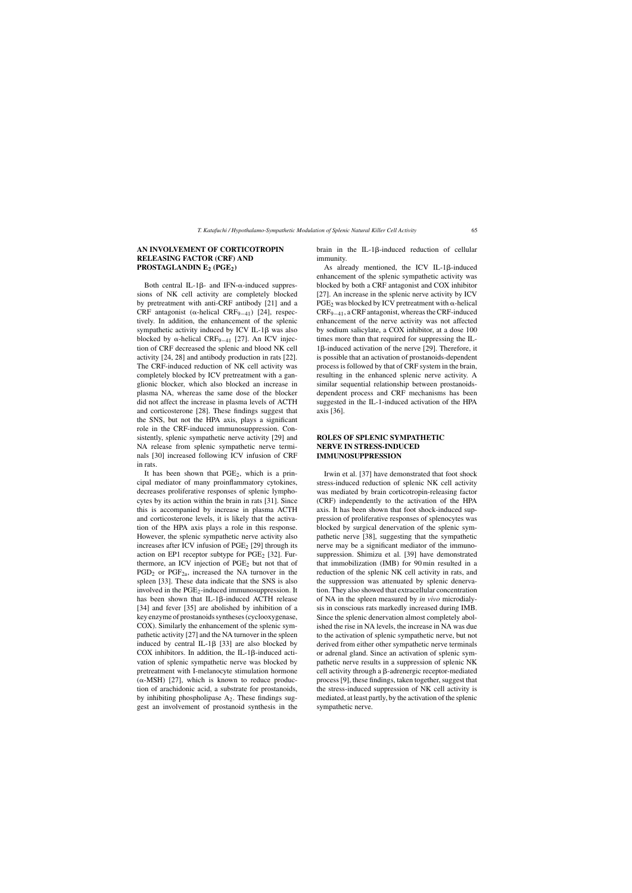# **AN INVOLVEMENT OF CORTICOTROPIN RELEASING FACTOR (CRF) AND PROSTAGLANDIN E2 (PGE2)**

Both central IL-1 $\beta$ - and IFN- $\alpha$ -induced suppressions of NK cell activity are completely blocked by pretreatment with anti-CRF antibody [21] and a CRF antagonist ( $\alpha$ -helical CRF<sub>9−41</sub>) [24], respectively. In addition, the enhancement of the splenic sympathetic activity induced by  $\text{ICV}$  IL-1 $\beta$  was also blocked by  $\alpha$ -helical CRF<sub>9−41</sub> [27]. An ICV injection of CRF decreased the splenic and blood NK cell activity [24, 28] and antibody production in rats [22]. The CRF-induced reduction of NK cell activity was completely blocked by ICV pretreatment with a ganglionic blocker, which also blocked an increase in plasma NA, whereas the same dose of the blocker did not affect the increase in plasma levels of ACTH and corticosterone [28]. These findings suggest that the SNS, but not the HPA axis, plays a significant role in the CRF-induced immunosuppression. Consistently, splenic sympathetic nerve activity [29] and NA release from splenic sympathetic nerve terminals [30] increased following ICV infusion of CRF in rats.

It has been shown that  $PGE_2$ , which is a principal mediator of many proinflammatory cytokines, decreases proliferative responses of splenic lymphocytes by its action within the brain in rats [31]. Since this is accompanied by increase in plasma ACTH and corticosterone levels, it is likely that the activation of the HPA axis plays a role in this response. However, the splenic sympathetic nerve activity also increases after ICV infusion of  $PGE_2$  [29] through its action on EP1 receptor subtype for  $PGE_2$  [32]. Furthermore, an ICV injection of  $PGE<sub>2</sub>$  but not that of  $PGD<sub>2</sub>$  or  $PGF<sub>2a</sub>$ , increased the NA turnover in the spleen [33]. These data indicate that the SNS is also involved in the  $PGE_2$ -induced immunosuppression. It has been shown that IL-1 $\beta$ -induced ACTH release [34] and fever [35] are abolished by inhibition of a key enzyme of prostanoids syntheses (cyclooxygenase, COX). Similarly the enhancement of the splenic sympathetic activity [27] and the NA turnover in the spleen induced by central IL-1 $\beta$  [33] are also blocked by COX inhibitors. In addition, the IL-1 $\beta$ -induced activation of splenic sympathetic nerve was blocked by pretreatment with I-melanocyte stimulation hormone  $(\alpha$ -MSH) [27], which is known to reduce production of arachidonic acid, a substrate for prostanoids, by inhibiting phospholipase  $A_2$ . These findings suggest an involvement of prostanoid synthesis in the

brain in the IL-1 $\beta$ -induced reduction of cellular immunity.

As already mentioned, the ICV IL-1 $\beta$ -induced enhancement of the splenic sympathetic activity was blocked by both a CRF antagonist and COX inhibitor [27]. An increase in the splenic nerve activity by ICV  $PGE_2$  was blocked by ICV pretreatment with  $\alpha$ -helical CRF9−41, a CRF antagonist, whereas the CRF-induced enhancement of the nerve activity was not affected by sodium salicylate, a COX inhibitor, at a dose 100 times more than that required for suppressing the IL-16-induced activation of the nerve [29]. Therefore, it is possible that an activation of prostanoids-dependent process is followed by that of CRF system in the brain, resulting in the enhanced splenic nerve activity. A similar sequential relationship between prostanoidsdependent process and CRF mechanisms has been suggested in the IL-1-induced activation of the HPA axis [36].

# **ROLES OF SPLENIC SYMPATHETIC NERVE IN STRESS-INDUCED IMMUNOSUPPRESSION**

Irwin et al. [37] have demonstrated that foot shock stress-induced reduction of splenic NK cell activity was mediated by brain corticotropin-releasing factor (CRF) independently to the activation of the HPA axis. It has been shown that foot shock-induced suppression of proliferative responses of splenocytes was blocked by surgical denervation of the splenic sympathetic nerve [38], suggesting that the sympathetic nerve may be a significant mediator of the immunosuppression. Shimizu et al. [39] have demonstrated that immobilization (IMB) for 90 min resulted in a reduction of the splenic NK cell activity in rats, and the suppression was attenuated by splenic denervation. They also showed that extracellular concentration of NA in the spleen measured by *in vivo* microdialysis in conscious rats markedly increased during IMB. Since the splenic denervation almost completely abolished the rise in NA levels, the increase in NA was due to the activation of splenic sympathetic nerve, but not derived from either other sympathetic nerve terminals or adrenal gland. Since an activation of splenic sympathetic nerve results in a suppression of splenic NK cell activity through a  $\beta$ -adrenergic receptor-mediated process [9], these findings, taken together, suggest that the stress-induced suppression of NK cell activity is mediated, at least partly, by the activation of the splenic sympathetic nerve.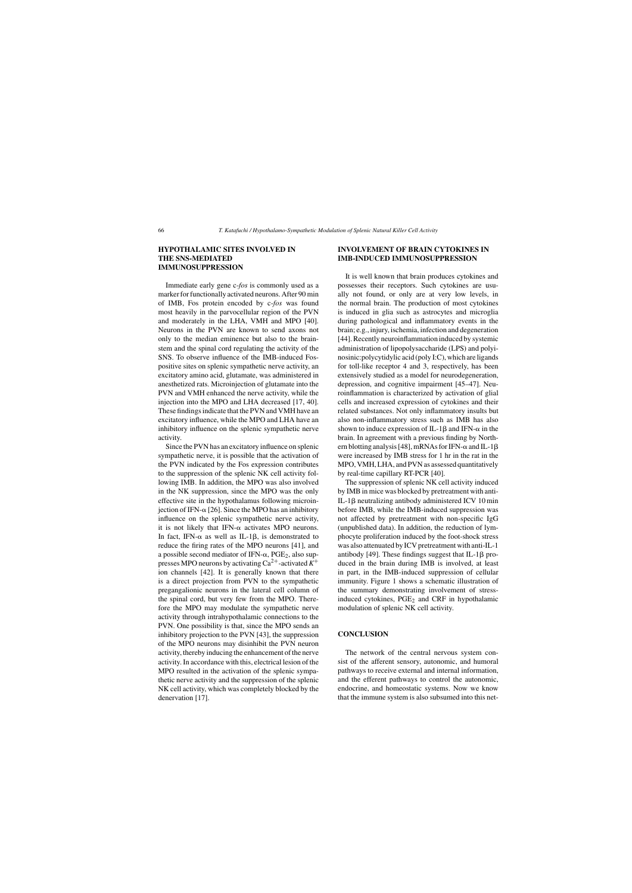## **HYPOTHALAMIC SITES INVOLVED IN THE SNS-MEDIATED IMMUNOSUPPRESSION**

Immediate early gene c-*fos* is commonly used as a marker for functionally activated neurons. After 90 min of IMB, Fos protein encoded by c-*fos* was found most heavily in the parvocellular region of the PVN and moderately in the LHA, VMH and MPO [40]. Neurons in the PVN are known to send axons not only to the median eminence but also to the brainstem and the spinal cord regulating the activity of the SNS. To observe influence of the IMB-induced Fospositive sites on splenic sympathetic nerve activity, an excitatory amino acid, glutamate, was administered in anesthetized rats. Microinjection of glutamate into the PVN and VMH enhanced the nerve activity, while the injection into the MPO and LHA decreased [17, 40]. These findings indicate that the PVN and VMH have an excitatory influence, while the MPO and LHA have an inhibitory influence on the splenic sympathetic nerve activity.

Since the PVN has an excitatory influence on splenic sympathetic nerve, it is possible that the activation of the PVN indicated by the Fos expression contributes to the suppression of the splenic NK cell activity following IMB. In addition, the MPO was also involved in the NK suppression, since the MPO was the only effective site in the hypothalamus following microinjection of IFN- $\alpha$  [26]. Since the MPO has an inhibitory influence on the splenic sympathetic nerve activity, it is not likely that IFN- $\alpha$  activates MPO neurons. In fact, IFN- $\alpha$  as well as IL-1 $\beta$ , is demonstrated to reduce the firing rates of the MPO neurons [41], and a possible second mediator of IFN- $\alpha$ , PGE<sub>2</sub>, also suppresses MPO neurons by activating  $Ca^{2+}$ -activated  $K^+$ ion channels [42]. It is generally known that there is a direct projection from PVN to the sympathetic pregangalionic neurons in the lateral cell column of the spinal cord, but very few from the MPO. Therefore the MPO may modulate the sympathetic nerve activity through intrahypothalamic connections to the PVN. One possibility is that, since the MPO sends an inhibitory projection to the PVN [43], the suppression of the MPO neurons may disinhibit the PVN neuron activity, thereby inducing the enhancement of the nerve activity. In accordance with this, electrical lesion of the MPO resulted in the activation of the splenic sympathetic nerve activity and the suppression of the splenic NK cell activity, which was completely blocked by the denervation [17].

## **INVOLVEMENT OF BRAIN CYTOKINES IN IMB-INDUCED IMMUNOSUPPRESSION**

It is well known that brain produces cytokines and possesses their receptors. Such cytokines are usually not found, or only are at very low levels, in the normal brain. The production of most cytokines is induced in glia such as astrocytes and microglia during pathological and inflammatory events in the brain; e.g., injury, ischemia, infection and degeneration [44]. Recently neuroinflammation induced by systemic administration of lipopolysaccharide (LPS) and polyinosinic:polycytidylic acid (poly I:C), which are ligands for toll-like receptor 4 and 3, respectively, has been extensively studied as a model for neurodegeneration, depression, and cognitive impairment [45–47]. Neuroinflammation is characterized by activation of glial cells and increased expression of cytokines and their related substances. Not only inflammatory insults but also non-inflammatory stress such as IMB has also shown to induce expression of IL-1 $\beta$  and IFN- $\alpha$  in the brain. In agreement with a previous finding by Northern blotting analysis [48], mRNAs for IFN- $\alpha$  and IL-1 $\beta$ were increased by IMB stress for 1 hr in the rat in the MPO, VMH, LHA, and PVN as assessed quantitatively by real-time capillary RT-PCR [40].

The suppression of splenic NK cell activity induced by IMB in mice was blocked by pretreatment with anti-IL-1β neutralizing antibody administered ICV 10 min before IMB, while the IMB-induced suppression was not affected by pretreatment with non-specific IgG (unpublished data). In addition, the reduction of lymphocyte proliferation induced by the foot-shock stress was also attenuated by ICV pretreatment with anti-IL-1 antibody [49]. These findings suggest that IL-1 $\beta$  produced in the brain during IMB is involved, at least in part, in the IMB-induced suppression of cellular immunity. Figure 1 shows a schematic illustration of the summary demonstrating involvement of stressinduced cytokines, PGE<sub>2</sub> and CRF in hypothalamic modulation of splenic NK cell activity.

#### **CONCLUSION**

The network of the central nervous system consist of the afferent sensory, autonomic, and humoral pathways to receive external and internal information, and the efferent pathways to control the autonomic, endocrine, and homeostatic systems. Now we know that the immune system is also subsumed into this net-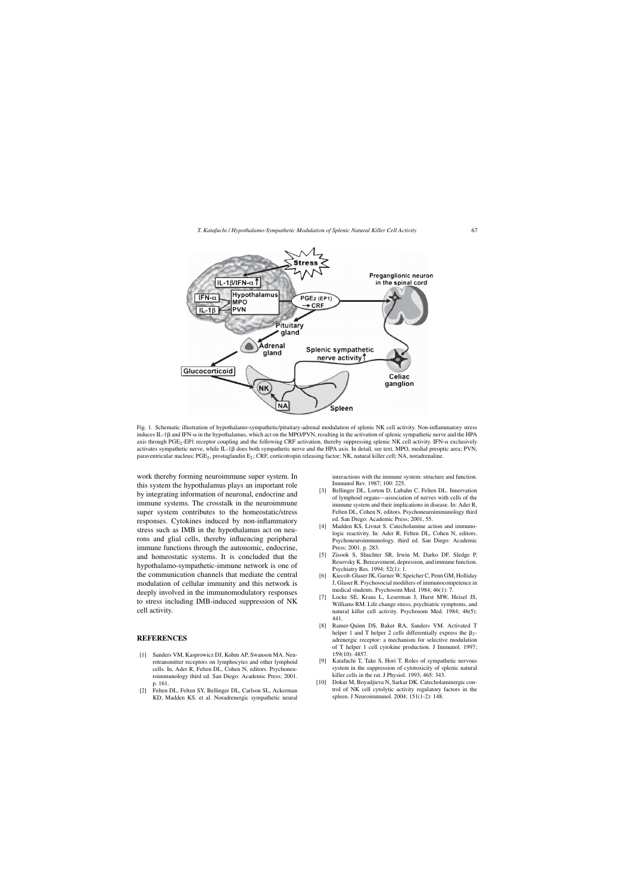

Fig. 1. Schematic illustration of hypothalamo-sympathetic/pituitary-adrenal modulation of splenic NK cell activity. Non-inflammatory stress induces IL-1 $\beta$  and IFN- $\alpha$  in the hypothalamus, which act on the MPO/PVN, resulting in the activation of splenic sympathetic nerve and the HPA axis through PGE<sub>2</sub>-EP1 receptor coupling and the following CRF activation, thereby suppressing splenic NK cell activity. IFN- $\alpha$  exclusively activates sympathetic nerve, while IL-1 $\beta$  does both sympathetic nerve and the HPA axis. In detail, see text. MPO, medial preoptic area; PVN, paraventricular nucleus; PGE2, prostaglandin E2; CRF, corticotropin releasing factor; NK, natural killer cell; NA, noradrenaline.

work thereby forming neuroimmune super system. In this system the hypothalamus plays an important role by integrating information of neuronal, endocrine and immune systems. The crosstalk in the neuroimmune super system contributes to the homeostatic/stress responses. Cytokines induced by non-inflammatory stress such as IMB in the hypothalamus act on neurons and glial cells, thereby influencing peripheral immune functions through the autonomic, endocrine, and homeostatic systems. It is concluded that the hypothalamo-sympathetic-immune network is one of the communication channels that mediate the central modulation of cellular immunity and this network is deeply involved in the immunomodulatory responses to stress including IMB-induced suppression of NK cell activity.

#### **REFERENCES**

- [1] Sanders VM, Kasprowicz DJ, Kohm AP, Swanson MA. Neurotransmitter receptors on lymphocytes and other lymphoid cells. In, Ader R, Felten DL, Cohen N, editors. Psychoneuroimmunology third ed. San Diego: Academic Press; 2001. p. 161.
- [2] Felten DL, Felten SY, Bellinger DL, Carlson SL, Ackerman KD, Madden KS. et al. Noradrenergic sympathetic neural

interactions with the immune system: structure and function. Immunol Rev. 1987; 100: 225.

- [3] Bellinger DL, Lorton D, Lubahn C, Felten DL. Innervation of lymphoid organs—association of nerves with cells of the immune system and their implications in disease. In: Ader R, Felten DL, Cohen N, editors. Psychoneuroimmunology third ed. San Diego: Academic Press; 2001, 55.
- [4] Madden KS, Livnat S. Catecholamine action and immunologic reactivity. In: Ader R, Felten DL, Cohen N, editors. Psychoneuroimmunology. third ed. San Diego: Academic Press; 2001. p. 283.
- [5] Zisook S, Shuchter SR, Irwin M, Darko DF, Sledge P, Resovsky K. Bereavement, depression, and immune function. Psychiatry Res. 1994; 52(1): 1.
- [6] Kiecolt-Glaser JK, Garner W, Speicher C, Penn GM, Holliday J, Glaser R. Psychosocial modifiers of immunocompetence in medical students. Psychosom Med. 1984; 46(1): 7.
- [7] Locke SE, Kraus L, Leserman J, Hurst MW, Heisel JS, Williams RM. Life change stress, psychiatric symptoms, and natural killer cell activity. Psychosom Med. 1984; 46(5): 441.
- [8] Ramer-Quinn DS, Baker RA, Sanders VM. Activated T helper 1 and T helper 2 cells differentially express the  $\beta_2$ adrenergic receptor: a mechanism for selective modulation of T helper 1 cell cytokine production. J Immunol. 1997; 159(10): 4857.
- [9] Katafuchi T, Take S, Hori T. Roles of sympathetic nervous system in the suppression of cytotoxicity of splenic natural killer cells in the rat. J Physiol. 1993; 465: 343.
- [10] Dokur M, Boyadjieva N, Sarkar DK. Catecholaminergic control of NK cell cytolytic activity regulatory factors in the spleen. J Neuroimmunol. 2004; 151(1-2): 148.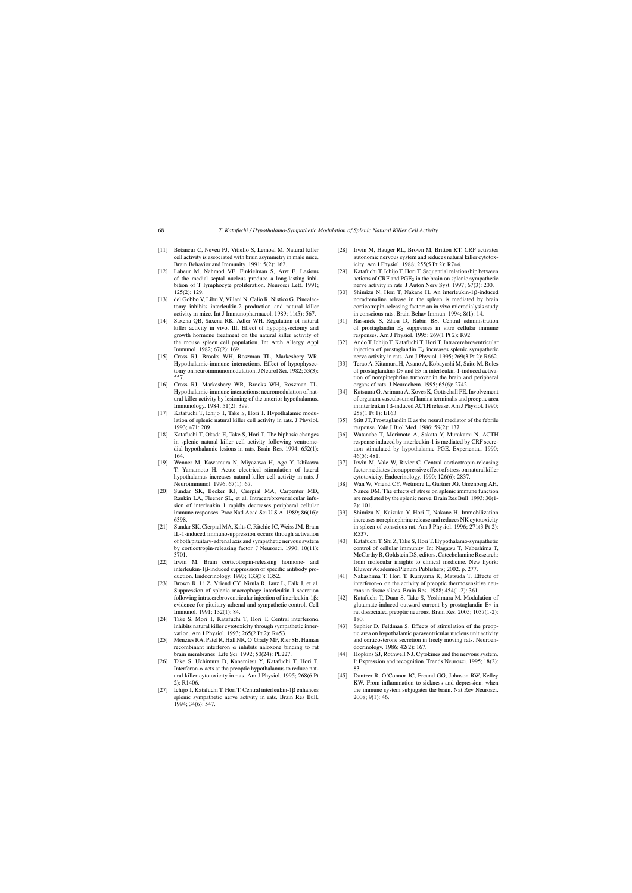- [11] Betancur C, Neveu PJ, Vitiello S, Lemoal M. Natural killer cell activity is associated with brain asymmetry in male mice. Brain Behavior and Immunity. 1991; 5(2): 162.
- [12] Labeur M, Nahmod VE, Finkielman S, Arzt E. Lesions of the medial septal nucleus produce a long-lasting inhibition of T lymphocyte proliferation. Neurosci Lett. 1991; 125(2): 129.
- [13] del Gobbo V, Libri V, Villani N, Calio R, Nistico G. Pinealectomy inhibits interleukin-2 production and natural killer activity in mice. Int J Immunopharmacol. 1989; 11(5): 567.
- [14] Saxena QB, Saxena RK, Adler WH. Regulation of natural killer activity in vivo. III. Effect of hypophysectomy and growth hormone treatment on the natural killer activity of the mouse spleen cell population. Int Arch Allergy Appl Immunol. 1982; 67(2): 169.
- [15] Cross RJ, Brooks WH, Roszman TL, Markesbery WR. Hypothalamic-immune interactions. Effect of hypophysectomy on neuroimmunomodulation. J Neurol Sci. 1982; 53(3): 557.
- [16] Cross RJ, Markesbery WR, Brooks WH, Roszman TL. Hypothalamic-immune interactions: neuromodulation of natural killer activity by lesioning of the anterior hypothalamus. Immunology. 1984; 51(2): 399.
- [17] Katafuchi T, Ichijo T, Take S, Hori T. Hypothalamic modulation of splenic natural killer cell activity in rats. J Physiol. 1993; 471: 209.
- [18] Katafuchi T, Okada E, Take S, Hori T. The biphasic changes in splenic natural killer cell activity following ventromedial hypothalamic lesions in rats. Brain Res. 1994; 652(1): 164.
- [19] Wenner M, Kawamura N, Miyazawa H, Ago Y, Ishikawa T, Yamamoto H. Acute electrical stimulation of lateral hypothalamus increases natural killer cell activity in rats. J Neuroimmunol. 1996; 67(1): 67.
- [20] Sundar SK, Becker KJ, Cierpial MA, Carpenter MD, Rankin LA, Fleener SL, et al. Intracerebroventricular infusion of interleukin 1 rapidly decreases peripheral cellular immune responses. Proc Natl Acad Sci U S A. 1989; 86(16): 6398.
- [21] Sundar SK, Cierpial MA, Kilts C, Ritchie JC, Weiss JM. Brain IL-1-induced immunosuppression occurs through activation of both pituitary-adrenal axis and sympathetic nervous system by corticotropin-releasing factor. J Neurosci. 1990; 10(11): 3701.
- [22] Irwin M. Brain corticotropin-releasing hormone- and interleukin-18-induced suppression of specific antibody production. Endocrinology. 1993; 133(3): 1352.
- [23] Brown R, Li Z, Vriend CY, Nirula R, Janz L, Falk J, et al. Suppression of splenic macrophage interleukin-1 secretion following intracerebroventricular injection of interleukin-1 $\beta$ : evidence for pituitary-adrenal and sympathetic control. Cell Immunol. 1991; 132(1): 84.
- [24] Take S, Mori T, Katafuchi T, Hori T. Central interferon $\alpha$ inhibits natural killer cytotoxicity through sympathetic innervation. Am J Physiol. 1993; 265(2 Pt 2): R453.
- [25] Menzies RA, Patel R, Hall NR, O'Grady MP, Rier SE. Human recombinant interferon  $\alpha$  inhibits naloxone binding to rat brain membranes. Life Sci. 1992; 50(24): PL227.
- [26] Take S, Uchimura D, Kanemitsu Y, Katafuchi T, Hori T. Interferon- $\alpha$  acts at the preoptic hypothalamus to reduce natural killer cytotoxicity in rats. Am J Physiol. 1995; 268(6 Pt 2): R1406.
- [27] Ichijo T, Katafuchi T, Hori T. Central interleukin-1 $\beta$  enhances splenic sympathetic nerve activity in rats. Brain Res Bull. 1994; 34(6): 547.
- [28] Irwin M, Hauger RL, Brown M, Britton KT, CRF activates autonomic nervous system and reduces natural killer cytotoxicity. Am J Physiol. 1988; 255(5 Pt 2): R744.
- [29] Katafuchi T, Ichijo T, Hori T. Sequential relationship between actions of CRF and PGE2 in the brain on splenic sympathetic nerve activity in rats. J Auton Nerv Syst. 1997; 67(3): 200.
- [30] Shimizu N, Hori T, Nakane H. An interleukin-1 $\beta$ -induced noradrenaline release in the spleen is mediated by brain corticotropin-releasing factor: an in vivo microdialysis study in conscious rats. Brain Behav Immun. 1994; 8(1): 14.
- [31] Rassnick S, Zhou D, Rabin BS. Central administration of prostaglandin E2 suppresses in vitro cellular immune responses. Am J Physiol. 1995; 269(1 Pt 2): R92.
- [32] Ando T, Ichijo T, Katafuchi T, Hori T. Intracerebroventricular injection of prostaglandin  $E_2$  increases splenic sympathetic nerve activity in rats. Am J Physiol. 1995; 269(3 Pt 2): R662.
- [33] Terao A, Kitamura H, Asano A, Kobayashi M, Saito M. Roles of prostaglandins  $D_2$  and  $E_2$  in interleukin-1-induced activation of norepinephrine turnover in the brain and peripheral organs of rats. J Neurochem. 1995; 65(6): 2742.
- [34] Katsuura G, Arimura A, Koves K, Gottschall PE. Involvement of organum vasculosum of lamina terminalis and preoptic area in interleukin 1 $\beta$ -induced ACTH release. Am J Physiol. 1990; 258(1 Pt 1): E163.
- [35] Stitt JT, Prostaglandin E as the neural mediator of the febrile response. Yale J Biol Med. 1986; 59(2): 137.
- [36] Watanabe T, Morimoto A, Sakata Y, Murakami N. ACTH response induced by interleukin-1 is mediated by CRF secretion stimulated by hypothalamic PGE. Experientia. 1990; 46(5): 481.
- [37] Irwin M, Vale W, Rivier C. Central corticotropin-releasing factor mediates the suppressive effect of stress on natural killer cytotoxicity. Endocrinology. 1990; 126(6): 2837.
- [38] Wan W, Vriend CY, Wetmore L, Gartner JG, Greenberg AH, Nance DM. The effects of stress on splenic immune function are mediated by the splenic nerve. Brain Res Bull. 1993; 30(1- 2): 101.
- [39] Shimizu N, Kaizuka Y, Hori T, Nakane H. Immobilization increases norepinephrine release and reduces NK cytotoxicity in spleen of conscious rat. Am J Physiol. 1996; 271(3 Pt 2): R537.
- [40] Katafuchi T, Shi Z, Take S, Hori T. Hypothalamo-sympathetic control of cellular immunity. In: Nagatsu T, Nabeshima T, McCarthy R, Goldstein DS, editors. Catecholamine Research: from molecular insights to clinical medicine. New hyork: Kluwer Academic/Plenum Publishers; 2002. p. 277.
- [41] Nakashima T, Hori T, Kuriyama K, Matsuda T. Effects of interferon- $\alpha$  on the activity of preoptic thermosensitive neurons in tissue slices. Brain Res. 1988; 454(1-2): 361.
- [42] Katafuchi T, Duan S, Take S, Yoshimura M. Modulation of glutamate-induced outward current by prostaglandin  $E_2$  in rat dissociated preoptic neurons. Brain Res. 2005; 1037(1-2): 180.
- [43] Saphier D, Feldman S. Effects of stimulation of the preoptic area on hypothalamic paraventricular nucleus unit activity and corticosterone secretion in freely moving rats. Neuroendocrinology. 1986; 42(2): 167.
- [44] Hopkins SJ, Rothwell NJ. Cytokines and the nervous system. I: Expression and recognition. Trends Neurosci. 1995; 18(2): 83.
- [45] Dantzer R, O'Connor JC, Freund GG, Johnson RW, Kelley KW. From inflammation to sickness and depression: when the immune system subjugates the brain. Nat Rev Neurosci. 2008; 9(1): 46.